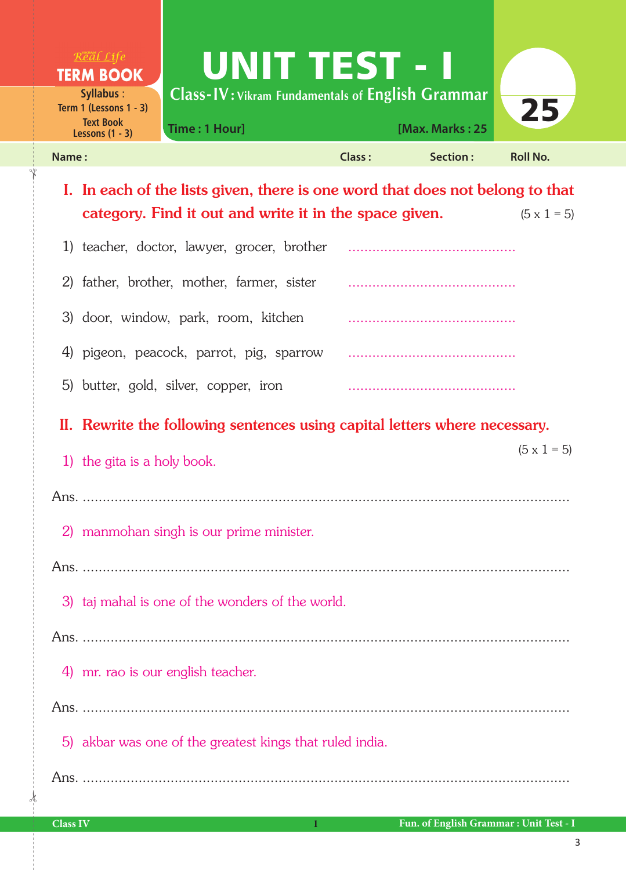| $R$ <sup>org</sup> al Life<br><b>TERM BOOK</b><br><b>Syllabus:</b><br>Term 1 (Lessons $1 - 3$ )<br><b>Text Book</b><br>Lessons $(1 - 3)$ | <b>UNIT TEST - I</b><br>Class-IV: Vikram Fundamentals of English Grammar<br>Time: 1 Hour]                                               |               | [Max. Marks: 25 | 25                 |  |
|------------------------------------------------------------------------------------------------------------------------------------------|-----------------------------------------------------------------------------------------------------------------------------------------|---------------|-----------------|--------------------|--|
| Name:                                                                                                                                    |                                                                                                                                         | <b>Class:</b> | Section:        | <b>Roll No.</b>    |  |
|                                                                                                                                          | I. In each of the lists given, there is one word that does not belong to that<br>category. Find it out and write it in the space given. |               |                 | $(5 \times 1 = 5)$ |  |
|                                                                                                                                          | 1) teacher, doctor, lawyer, grocer, brother                                                                                             |               |                 |                    |  |
| 2) father, brother, mother, farmer, sister                                                                                               |                                                                                                                                         |               |                 |                    |  |
| 3) door, window, park, room, kitchen                                                                                                     |                                                                                                                                         |               |                 |                    |  |
| 4) pigeon, peacock, parrot, pig, sparrow                                                                                                 |                                                                                                                                         |               |                 |                    |  |
| 5) butter, gold, silver, copper, iron                                                                                                    |                                                                                                                                         |               |                 |                    |  |
|                                                                                                                                          | II. Rewrite the following sentences using capital letters where necessary.                                                              |               |                 |                    |  |
| 1) the gita is a holy book.                                                                                                              |                                                                                                                                         |               |                 | $(5 \times 1 = 5)$ |  |
|                                                                                                                                          |                                                                                                                                         |               |                 |                    |  |
|                                                                                                                                          | 2) manmohan singh is our prime minister.                                                                                                |               |                 |                    |  |
|                                                                                                                                          |                                                                                                                                         |               |                 |                    |  |
|                                                                                                                                          | 3) taj mahal is one of the wonders of the world.                                                                                        |               |                 |                    |  |
|                                                                                                                                          |                                                                                                                                         |               |                 |                    |  |
| 4) mr. rao is our english teacher.                                                                                                       |                                                                                                                                         |               |                 |                    |  |
|                                                                                                                                          |                                                                                                                                         |               |                 |                    |  |

5) akbar was one of the greatest kings that ruled india.

Ans. ..........................................................................................................................

 $\frac{1}{2}$ 

✁